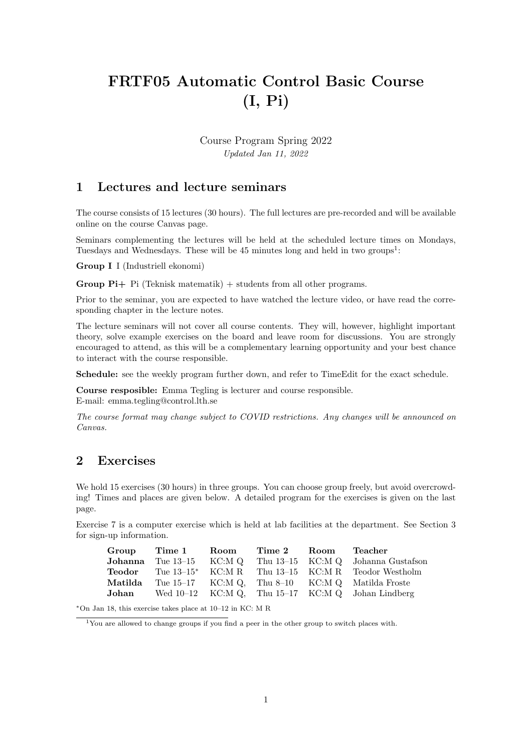# FRTF05 Automatic Control Basic Course (I, Pi)

Course Program Spring 2022 Updated Jan 11, 2022

## 1 Lectures and lecture seminars

The course consists of 15 lectures (30 hours). The full lectures are pre-recorded and will be available online on the course Canvas page.

Seminars complementing the lectures will be held at the scheduled lecture times on Mondays, Tuesdays and Wednesdays. These will be  $45$  minutes long and held in two groups<sup>1</sup>:

Group I I (Industriell ekonomi)

**Group Pi**+ Pi (Teknisk matematik) + students from all other programs.

Prior to the seminar, you are expected to have watched the lecture video, or have read the corresponding chapter in the lecture notes.

The lecture seminars will not cover all course contents. They will, however, highlight important theory, solve example exercises on the board and leave room for discussions. You are strongly encouraged to attend, as this will be a complementary learning opportunity and your best chance to interact with the course responsible.

Schedule: see the weekly program further down, and refer to TimeEdit for the exact schedule.

Course resposible: Emma Tegling is lecturer and course responsible. E-mail: emma.tegling@control.lth.se

The course format may change subject to COVID restrictions. Any changes will be announced on Canvas.

# 2 Exercises

We hold 15 exercises (30 hours) in three groups. You can choose group freely, but avoid overcrowding! Times and places are given below. A detailed program for the exercises is given on the last page.

Exercise 7 is a computer exercise which is held at lab facilities at the department. See Section 3 for sign-up information.

| Group   | Time 1 Room                       | Time <sub>2</sub> | Room | Teacher                                                |
|---------|-----------------------------------|-------------------|------|--------------------------------------------------------|
|         | <b>Johanna</b> Tue $13-15$ KC:M Q |                   |      | Thu 13–15 KC:M Q Johanna Gustafson                     |
| Teodor  | Tue $13-15^*$ KC:M R              |                   |      | Thu 13–15 KC:M R Teodor Westholm                       |
| Matilda |                                   |                   |      | Tue $15-17$ KC:M Q. Thu $8-10$ KC:M Q. Matilda Froste  |
| Johan   |                                   |                   |      | Wed $10-12$ KC:M Q, Thu $15-17$ KC:M Q, Johan Lindberg |

<sup>∗</sup>On Jan 18, this exercise takes place at 10–12 in KC: M R

<sup>1</sup>You are allowed to change groups if you find a peer in the other group to switch places with.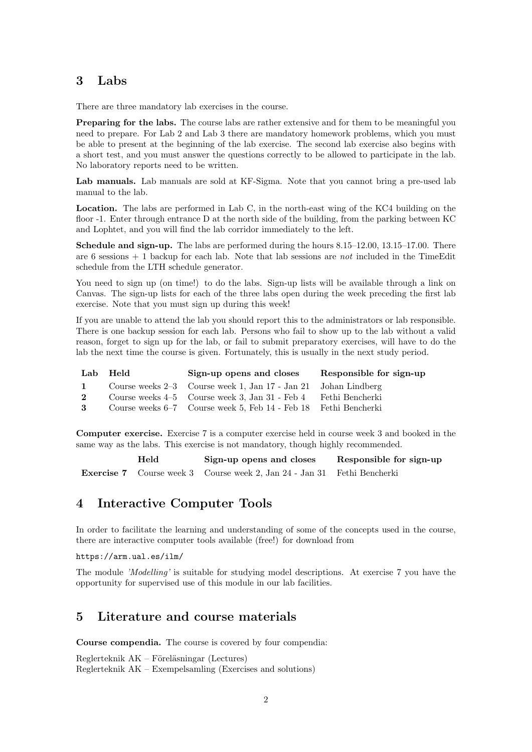# 3 Labs

There are three mandatory lab exercises in the course.

Preparing for the labs. The course labs are rather extensive and for them to be meaningful you need to prepare. For Lab 2 and Lab 3 there are mandatory homework problems, which you must be able to present at the beginning of the lab exercise. The second lab exercise also begins with a short test, and you must answer the questions correctly to be allowed to participate in the lab. No laboratory reports need to be written.

Lab manuals. Lab manuals are sold at KF-Sigma. Note that you cannot bring a pre-used lab manual to the lab.

Location. The labs are performed in Lab C, in the north-east wing of the KC4 building on the floor -1. Enter through entrance D at the north side of the building, from the parking between KC and Lophtet, and you will find the lab corridor immediately to the left.

Schedule and sign-up. The labs are performed during the hours 8.15–12.00, 13.15–17.00. There are 6 sessions  $+1$  backup for each lab. Note that lab sessions are *not* included in the TimeEdit schedule from the LTH schedule generator.

You need to sign up (on time!) to do the labs. Sign-up lists will be available through a link on Canvas. The sign-up lists for each of the three labs open during the week preceding the first lab exercise. Note that you must sign up during this week!

If you are unable to attend the lab you should report this to the administrators or lab responsible. There is one backup session for each lab. Persons who fail to show up to the lab without a valid reason, forget to sign up for the lab, or fail to submit preparatory exercises, will have to do the lab the next time the course is given. Fortunately, this is usually in the next study period.

|              | Lab Held | Sign-up opens and closes                                        | Responsible for sign-up |
|--------------|----------|-----------------------------------------------------------------|-------------------------|
| $\mathbf{1}$ |          | Course weeks 2–3 Course week 1, Jan 17 - Jan 21 Johan Lindberg  |                         |
| $\mathbf{2}$ |          | Course weeks 4–5 Course week 3, Jan 31 - Feb 4 Fethi Bencherki  |                         |
| 3            |          | Course weeks 6–7 Course week 5, Feb 14 - Feb 18 Fethi Bencherki |                         |

Computer exercise. Exercise 7 is a computer exercise held in course week 3 and booked in the same way as the labs. This exercise is not mandatory, though highly recommended.

| Held |  | Sign-up opens and closes                                                       | Responsible for sign-up |  |
|------|--|--------------------------------------------------------------------------------|-------------------------|--|
|      |  | <b>Exercise 7</b> Course week 3 Course week 2, Jan 24 - Jan 31 Fethi Bencherki |                         |  |

### 4 Interactive Computer Tools

In order to facilitate the learning and understanding of some of the concepts used in the course, there are interactive computer tools available (free!) for download from

#### https://arm.ual.es/ilm/

The module 'Modelling' is suitable for studying model descriptions. At exercise 7 you have the opportunity for supervised use of this module in our lab facilities.

### 5 Literature and course materials

Course compendia. The course is covered by four compendia:

 $Reglerteknik AK - Föreläsningar (Lectures)$ Reglerteknik AK – Exempelsamling (Exercises and solutions)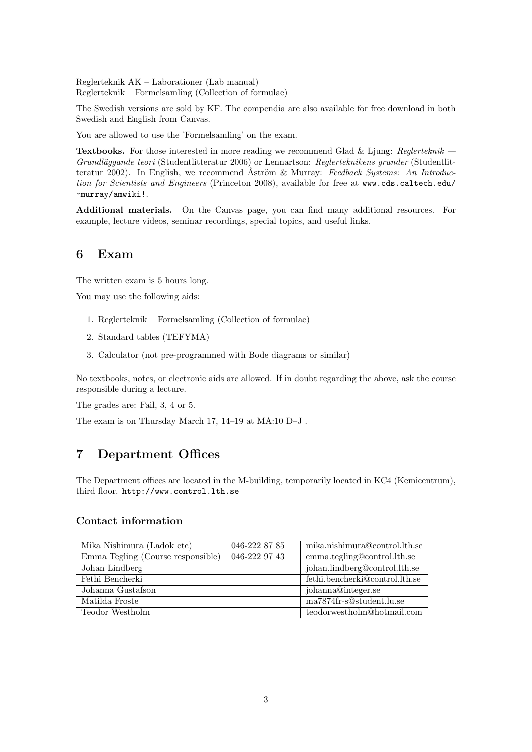Reglerteknik AK – Laborationer (Lab manual) Reglerteknik – Formelsamling (Collection of formulae)

The Swedish versions are sold by KF. The compendia are also available for free download in both Swedish and English from Canvas.

You are allowed to use the 'Formelsamling' on the exam.

**Textbooks.** For those interested in more reading we recommend Glad & Ljung: Reglerteknik  $-$ Grundläggande teori (Studentlitteratur 2006) or Lennartson: Reglerteknikens grunder (Studentlitteratur 2002). In English, we recommend Åström & Murray: Feedback Systems: An Introduction for Scientists and Engineers (Princeton 2008), available for free at www.cds.caltech.edu/ ~murray/amwiki!.

Additional materials. On the Canvas page, you can find many additional resources. For example, lecture videos, seminar recordings, special topics, and useful links.

#### 6 Exam

The written exam is 5 hours long.

You may use the following aids:

- 1. Reglerteknik Formelsamling (Collection of formulae)
- 2. Standard tables (TEFYMA)
- 3. Calculator (not pre-programmed with Bode diagrams or similar)

No textbooks, notes, or electronic aids are allowed. If in doubt regarding the above, ask the course responsible during a lecture.

The grades are: Fail, 3, 4 or 5.

The exam is on Thursday March 17, 14–19 at MA:10 D–J .

# 7 Department Offices

The Department offices are located in the M-building, temporarily located in KC4 (Kemicentrum), third floor. http://www.control.lth.se

#### Contact information

| Mika Nishimura (Ladok etc)        | 046-222 87 85 | mika.nishimura@control.lth.se  |
|-----------------------------------|---------------|--------------------------------|
| Emma Tegling (Course responsible) | 046-222 97 43 | emma.tegling@control.lth.se    |
| Johan Lindberg                    |               | johan.lindberg@control.lth.se  |
| Fethi Bencherki                   |               | fethi.bencherki@control.lth.se |
| Johanna Gustafson                 |               | johanna@integer.se             |
| Matilda Froste                    |               | ma7874fr-s@student.lu.se       |
| Teodor Westholm                   |               | teodorwestholm@hotmail.com     |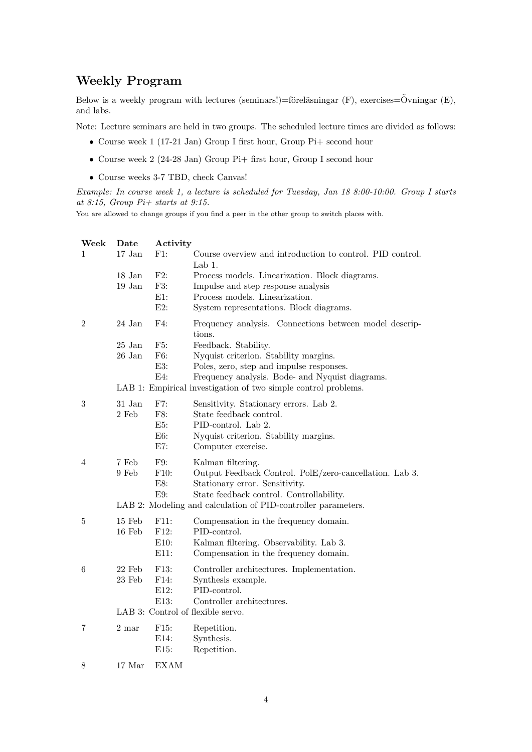# Weekly Program

Below is a weekly program with lectures (seminars!)=föreläsningar  $(F)$ , exercises= $\ddot{O}$ vningar  $(E)$ , and labs.

Note: Lecture seminars are held in two groups. The scheduled lecture times are divided as follows:

- Course week 1 (17-21 Jan) Group I first hour, Group Pi+ second hour
- Course week 2 (24-28 Jan) Group Pi+ first hour, Group I second hour
- Course weeks 3-7 TBD, check Canvas!

Example: In course week 1, a lecture is scheduled for Tuesday, Jan 18 8:00-10:00. Group I starts at 8:15, Group  $Pi+$  starts at 9:15.

You are allowed to change groups if you find a peer in the other group to switch places with.

| Week       | Date                 | Activity         |                                                                                                           |
|------------|----------------------|------------------|-----------------------------------------------------------------------------------------------------------|
| 1          | $17$ Jan $\,$        | F1:              | Course overview and introduction to control. PID control.<br>Lab 1.                                       |
|            | $18$ Jan $\,$        | F2:              | Process models. Linearization. Block diagrams.                                                            |
|            | 19 Jan               | F3:              | Impulse and step response analysis                                                                        |
|            |                      | $E1$ :<br>$E2$ : | Process models. Linearization.<br>System representations. Block diagrams.                                 |
|            |                      |                  |                                                                                                           |
| 2          | 24 Jan               | F4:              | Frequency analysis. Connections between model descrip-<br>tions.                                          |
|            | $25\,\,\mathrm{Jan}$ | F5:              | Feedback. Stability.                                                                                      |
|            | 26 Jan               | F6:              | Nyquist criterion. Stability margins.                                                                     |
|            |                      | E3:<br>E4:       | Poles, zero, step and impulse responses.<br>Frequency analysis. Bode- and Nyquist diagrams.               |
|            |                      |                  | LAB 1: Empirical investigation of two simple control problems.                                            |
| $\sqrt{3}$ | 31 Jan               | F7:              | Sensitivity. Stationary errors. Lab 2.                                                                    |
|            | 2 Feb                | F8:              | State feedback control.                                                                                   |
|            |                      | E5:<br>E6:       | PID-control. Lab 2.<br>Nyquist criterion. Stability margins.                                              |
|            |                      | E7:              | Computer exercise.                                                                                        |
| 4          | 7 Feb                | F9:              | Kalman filtering.                                                                                         |
|            | 9 Feb                | F10:             | Output Feedback Control. PolE/zero-cancellation. Lab 3.                                                   |
|            |                      | E8:<br>E9:       | Stationary error. Sensitivity.                                                                            |
|            |                      |                  | State feedback control. Controllability.<br>LAB 2: Modeling and calculation of PID-controller parameters. |
| 5          | $15$ Feb             | F11:             | Compensation in the frequency domain.                                                                     |
|            | $16$ Feb             | F12:             | PID-control.                                                                                              |
|            |                      | E10:             | Kalman filtering. Observability. Lab 3.                                                                   |
|            |                      | E11:             | Compensation in the frequency domain.                                                                     |
| 6          | $22\,$ Feb $\,$      | F13:             | Controller architectures. Implementation.                                                                 |
|            | 23 Feb               | F14:<br>E12:     | Synthesis example.<br>PID-control.                                                                        |
|            |                      | E13:             | Controller architectures.                                                                                 |
|            |                      |                  | LAB 3: Control of flexible servo.                                                                         |
| 7          | 2 mar                | F15:             | Repetition.                                                                                               |
|            |                      | E14:             | Synthesis.                                                                                                |
|            |                      | E15:             | Repetition.                                                                                               |
| 8          | 17 Mar               | EXAM             |                                                                                                           |